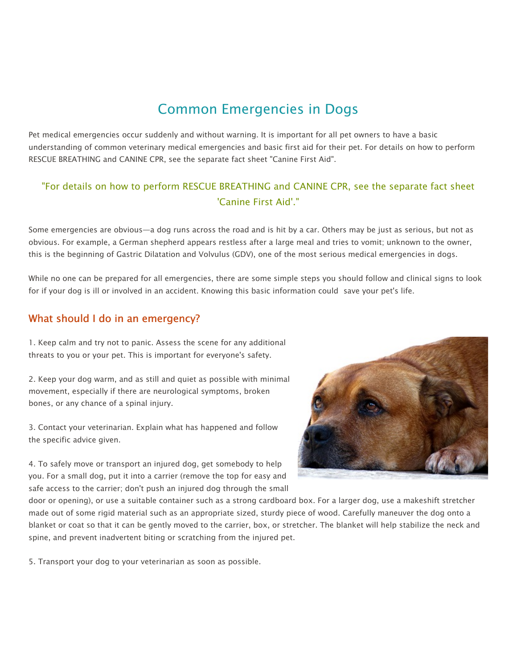# Common Emergencies in Dogs

Pet medical emergencies occur suddenly and without warning. It is important for all pet owners to have a basic understanding of common veterinary medical emergencies and basic first aid for their pet. For details on how to perform RESCUE BREATHING and CANINE CPR, see the separate fact sheet "Canine First Aid".

# "For details on how to perform RESCUE BREATHING and CANINE CPR, see the separate fact sheet 'Canine First Aid'."

Some emergencies are obvious—a dog runs across the road and is hit by a car. Others may be just as serious, but not as obvious. For example, a German shepherd appears restless after a large meal and tries to vomit; unknown to the owner, this is the beginning of Gastric Dilatation and Volvulus (GDV), one of the most serious medical emergencies in dogs.

While no one can be prepared for all emergencies, there are some simple steps you should follow and clinical signs to look for if your dog is ill or involved in an accident. Knowing this basic information could save your pet's life.

# What should I do in an emergency?

1. Keep calm and try not to panic. Assess the scene for any additional threats to you or your pet. This is important for everyone's safety.

2. Keep your dog warm, and as still and quiet as possible with minimal movement, especially if there are neurological symptoms, broken bones, or any chance of a spinal injury.

3. Contact your veterinarian. Explain what has happened and follow the specific advice given.

4. To safely move or transport an injured dog, get somebody to help you. For a small dog, put it into a carrier (remove the top for easy and safe access to the carrier; don't push an injured dog through the small



door or opening), or use a suitable container such as a strong cardboard box. For a larger dog, use a makeshift stretcher made out of some rigid material such as an appropriate sized, sturdy piece of wood. Carefully maneuver the dog onto a blanket or coat so that it can be gently moved to the carrier, box, or stretcher. The blanket will help stabilize the neck and spine, and prevent inadvertent biting or scratching from the injured pet.

5. Transport your dog to your veterinarian as soon as possible.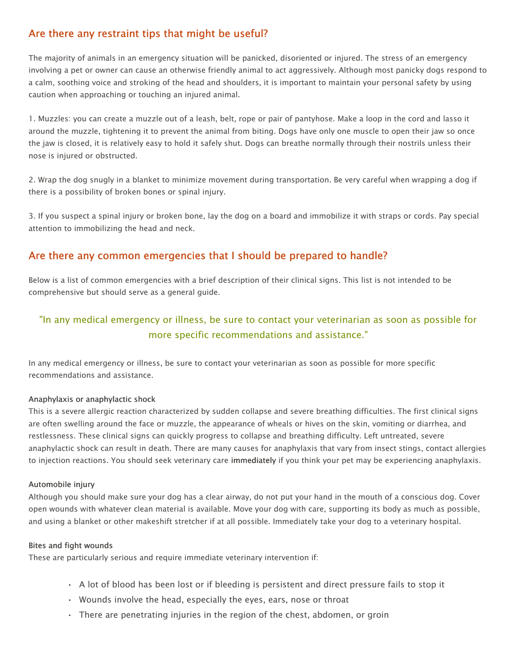# Are there any restraint tips that might be useful?

The majority of animals in an emergency situation will be panicked, disoriented or injured. The stress of an emergency involving a pet or owner can cause an otherwise friendly animal to act aggressively. Although most panicky dogs respond to a calm, soothing voice and stroking of the head and shoulders, it is important to maintain your personal safety by using caution when approaching or touching an injured animal.

1. Muzzles: you can create a muzzle out of a leash, belt, rope or pair of pantyhose. Make a loop in the cord and lasso it around the muzzle, tightening it to prevent the animal from biting. Dogs have only one muscle to open their jaw so once the jaw is closed, it is relatively easy to hold it safely shut. Dogs can breathe normally through their nostrils unless their nose is injured or obstructed.

2. Wrap the dog snugly in a blanket to minimize movement during transportation. Be very careful when wrapping a dog if there is a possibility of broken bones or spinal injury.

3. If you suspect a spinal injury or broken bone, lay the dog on a board and immobilize it with straps or cords. Pay special attention to immobilizing the head and neck.

# Are there any common emergencies that I should be prepared to handle?

Below is a list of common emergencies with a brief description of their clinical signs. This list is not intended to be comprehensive but should serve as a general guide.

# "In any medical emergency or illness, be sure to contact your veterinarian as soon as possible for more specific recommendations and assistance."

In any medical emergency or illness, be sure to contact your veterinarian as soon as possible for more specific recommendations and assistance.

# Anaphylaxis or anaphylactic shock

This is a severe allergic reaction characterized by sudden collapse and severe breathing difficulties. The first clinical signs are often swelling around the face or muzzle, the appearance of wheals or hives on the skin, vomiting or diarrhea, and restlessness. These clinical signs can quickly progress to collapse and breathing difficulty. Left untreated, severe anaphylactic shock can result in death. There are many causes for anaphylaxis that vary from insect stings, contact allergies to injection reactions. You should seek veterinary care immediately if you think your pet may be experiencing anaphylaxis.

### Automobile injury

Although you should make sure your dog has a clear airway, do not put your hand in the mouth of a conscious dog. Cover open wounds with whatever clean material is available. Move your dog with care, supporting its body as much as possible, and using a blanket or other makeshift stretcher if at all possible. Immediately take your dog to a veterinary hospital.

### Bites and fight wounds

These are particularly serious and require immediate veterinary intervention if:

- A lot of blood has been lost or if bleeding is persistent and direct pressure fails to stop it
- Wounds involve the head, especially the eyes, ears, nose or throat
- There are penetrating injuries in the region of the chest, abdomen, or groin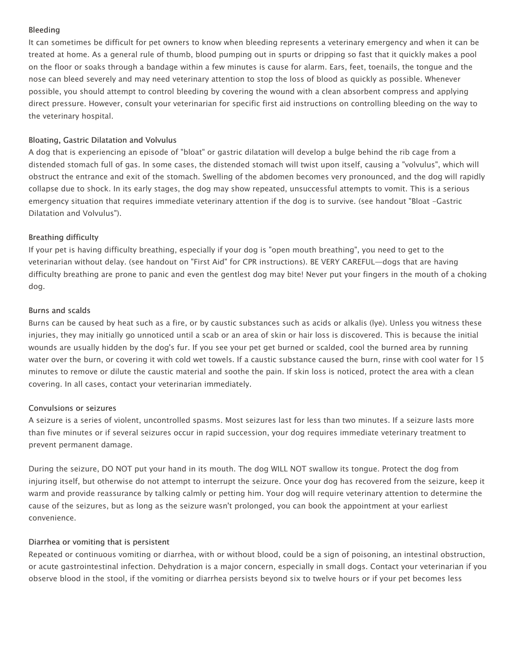### Bleeding

It can sometimes be difficult for pet owners to know when bleeding represents a veterinary emergency and when it can be treated at home. As a general rule of thumb, blood pumping out in spurts or dripping so fast that it quickly makes a pool on the floor or soaks through a bandage within a few minutes is cause for alarm. Ears, feet, toenails, the tongue and the nose can bleed severely and may need veterinary attention to stop the loss of blood as quickly as possible. Whenever possible, you should attempt to control bleeding by covering the wound with a clean absorbent compress and applying direct pressure. However, consult your veterinarian for specific first aid instructions on controlling bleeding on the way to the veterinary hospital.

## Bloating, Gastric Dilatation and Volvulus

A dog that is experiencing an episode of "bloat" or gastric dilatation will develop a bulge behind the rib cage from a distended stomach full of gas. In some cases, the distended stomach will twist upon itself, causing a "volvulus", which will obstruct the entrance and exit of the stomach. Swelling of the abdomen becomes very pronounced, and the dog will rapidly collapse due to shock. In its early stages, the dog may show repeated, unsuccessful attempts to vomit. This is a serious emergency situation that requires immediate veterinary attention if the dog is to survive. (see handout "Bloat -Gastric Dilatation and Volvulus").

## Breathing difficulty

If your pet is having difficulty breathing, especially if your dog is "open mouth breathing", you need to get to the veterinarian without delay. (see handout on "First Aid" for CPR instructions). BE VERY CAREFUL—dogs that are having difficulty breathing are prone to panic and even the gentlest dog may bite! Never put your fingers in the mouth of a choking dog.

### Burns and scalds

Burns can be caused by heat such as a fire, or by caustic substances such as acids or alkalis (lye). Unless you witness these injuries, they may initially go unnoticed until a scab or an area of skin or hair loss is discovered. This is because the initial wounds are usually hidden by the dog's fur. If you see your pet get burned or scalded, cool the burned area by running water over the burn, or covering it with cold wet towels. If a caustic substance caused the burn, rinse with cool water for 15 minutes to remove or dilute the caustic material and soothe the pain. If skin loss is noticed, protect the area with a clean covering. In all cases, contact your veterinarian immediately.

# Convulsions or seizures

A seizure is a series of violent, uncontrolled spasms. Most seizures last for less than two minutes. If a seizure lasts more than five minutes or if several seizures occur in rapid succession, your dog requires immediate veterinary treatment to prevent permanent damage.

During the seizure, DO NOT put your hand in its mouth. The dog WILL NOT swallow its tongue. Protect the dog from injuring itself, but otherwise do not attempt to interrupt the seizure. Once your dog has recovered from the seizure, keep it warm and provide reassurance by talking calmly or petting him. Your dog will require veterinary attention to determine the cause of the seizures, but as long as the seizure wasn't prolonged, you can book the appointment at your earliest convenience.

# Diarrhea or vomiting that is persistent

Repeated or continuous vomiting or diarrhea, with or without blood, could be a sign of poisoning, an intestinal obstruction, or acute gastrointestinal infection. Dehydration is a major concern, especially in small dogs. Contact your veterinarian if you observe blood in the stool, if the vomiting or diarrhea persists beyond six to twelve hours or if your pet becomes less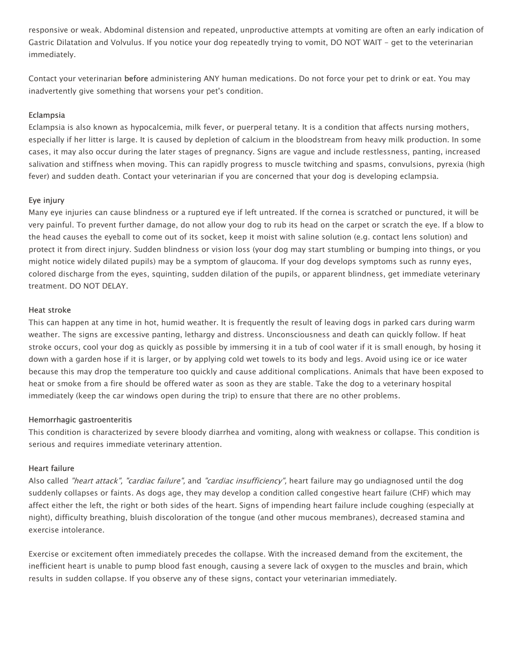responsive or weak. Abdominal distension and repeated, unproductive attempts at vomiting are often an early indication of Gastric Dilatation and Volvulus. If you notice your dog repeatedly trying to vomit, DO NOT WAIT - get to the veterinarian immediately.

Contact your veterinarian before administering ANY human medications. Do not force your pet to drink or eat. You may inadvertently give something that worsens your pet's condition.

### Eclampsia

Eclampsia is also known as hypocalcemia, milk fever, or puerperal tetany. It is a condition that affects nursing mothers, especially if her litter is large. It is caused by depletion of calcium in the bloodstream from heavy milk production. In some cases, it may also occur during the later stages of pregnancy. Signs are vague and include restlessness, panting, increased salivation and stiffness when moving. This can rapidly progress to muscle twitching and spasms, convulsions, pyrexia (high fever) and sudden death. Contact your veterinarian if you are concerned that your dog is developing eclampsia.

### Eye injury

Many eye injuries can cause blindness or a ruptured eye if left untreated. If the cornea is scratched or punctured, it will be very painful. To prevent further damage, do not allow your dog to rub its head on the carpet or scratch the eye. If a blow to the head causes the eyeball to come out of its socket, keep it moist with saline solution (e.g. contact lens solution) and protect it from direct injury. Sudden blindness or vision loss (your dog may start stumbling or bumping into things, or you might notice widely dilated pupils) may be a symptom of glaucoma. If your dog develops symptoms such as runny eyes, colored discharge from the eyes, squinting, sudden dilation of the pupils, or apparent blindness, get immediate veterinary treatment. DO NOT DELAY.

#### Heat stroke

This can happen at any time in hot, humid weather. It is frequently the result of leaving dogs in parked cars during warm weather. The signs are excessive panting, lethargy and distress. Unconsciousness and death can quickly follow. If heat stroke occurs, cool your dog as quickly as possible by immersing it in a tub of cool water if it is small enough, by hosing it down with a garden hose if it is larger, or by applying cold wet towels to its body and legs. Avoid using ice or ice water because this may drop the temperature too quickly and cause additional complications. Animals that have been exposed to heat or smoke from a fire should be offered water as soon as they are stable. Take the dog to a veterinary hospital immediately (keep the car windows open during the trip) to ensure that there are no other problems.

### Hemorrhagic gastroenteritis

This condition is characterized by severe bloody diarrhea and vomiting, along with weakness or collapse. This condition is serious and requires immediate veterinary attention.

### Heart failure

Also called "heart attack", "cardiac failure", and "cardiac insufficiency", heart failure may go undiagnosed until the dog suddenly collapses or faints. As dogs age, they may develop a condition called congestive heart failure (CHF) which may affect either the left, the right or both sides of the heart. Signs of impending heart failure include coughing (especially at night), difficulty breathing, bluish discoloration of the tongue (and other mucous membranes), decreased stamina and exercise intolerance.

Exercise or excitement often immediately precedes the collapse. With the increased demand from the excitement, the inefficient heart is unable to pump blood fast enough, causing a severe lack of oxygen to the muscles and brain, which results in sudden collapse. If you observe any of these signs, contact your veterinarian immediately.